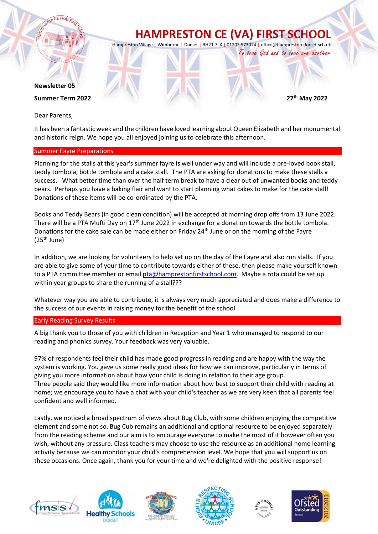

Dear Parents,

It has been a fantastic week and the children have loved learning about Queen Elizabeth and her monumental and historic reign. We hope you all enjoyed joining us to celebrate this afternoon.

### Summer Fayre Preparations

Planning for the stalls at this year's summer fayre is well under way and will include a pre-loved book stall, teddy tombola, bottle tombola and a cake stall. The PTA are asking for donations to make these stalls a success. What better time than over the half term break to have a clear out of unwanted books and teddy bears. Perhaps you have a baking flair and want to start planning what cakes to make for the cake stall! Donations of these items will be co-ordinated by the PTA.

Books and Teddy Bears (in good clean condition) will be accepted at morning drop offs from 13 June 2022. There will be a PTA Mufti Day on  $17<sup>th</sup>$  June 2022 in exchange for a donation towards the bottle tombola. Donations for the cake sale can be made either on Friday 24<sup>th</sup> June or on the morning of the Fayre  $(25<sup>th</sup>$  June)

In addition, we are looking for volunteers to help set up on the day of the Fayre and also run stalls. If you are able to give some of your time to contribute towards either of these, then please make yourself known to a PTA committee member or email [pta@hamprestonfirstschool.com.](mailto:pta@hamprestonfirstschool.com) Maybe a rota could be set up within year groups to share the running of a stall???

Whatever way you are able to contribute, it is always very much appreciated and does make a difference to the success of our events in raising money for the benefit of the school

### Early Reading Survey Results

A big thank you to those of you with children in Reception and Year 1 who managed to respond to our reading and phonics survey. Your feedback was very valuable.

97% of respondents feel their child has made good progress in reading and are happy with the way the system is working. You gave us some really good ideas for how we can improve, particularly in terms of giving you more information about how your child is doing in relation to their age group. Three people said they would like more information about how best to support their child with reading at home; we encourage you to have a chat with your child's teacher as we are very keen that all parents feel confident and well informed.

Lastly, we noticed a broad spectrum of views about Bug Club, with some children enjoying the competitive element and some not so. Bug Cub remains an additional and optional resource to be enjoyed separately from the reading scheme and our aim is to encourage everyone to make the most of it however often you wish, without any pressure. Class teachers may choose to use the resource as an additional home learning activity because we can monitor your child's comprehension level. We hope that you will support us on these occasions. Once again, thank you for your time and we're delighted with the positive response!











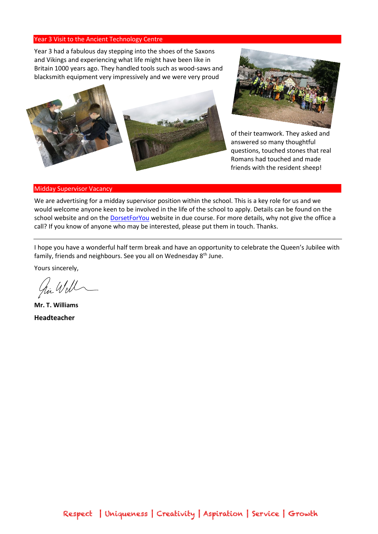#### Year 3 Visit to the Ancient Technology Centre

Year 3 had a fabulous day stepping into the shoes of the Saxons and Vikings and experiencing what life might have been like in Britain 1000 years ago. They handled tools such as wood-saws and blacksmith equipment very impressively and we were very proud





of their teamwork. They asked and answered so many thoughtful questions, touched stones that real Romans had touched and made friends with the resident sheep!

#### Midday Supervisor Vacancy

We are advertising for a midday supervisor position within the school. This is a key role for us and we would welcome anyone keen to be involved in the life of the school to apply. Details can be found on the school website and on the **DorsetForYou** website in due course. For more details, why not give the office a call? If you know of anyone who may be interested, please put them in touch. Thanks.

I hope you have a wonderful half term break and have an opportunity to celebrate the Queen's Jubilee with family, friends and neighbours. See you all on Wednesday 8<sup>th</sup> June.

Yours sincerely,

in Wel

**Mr. T. Williams Headteacher**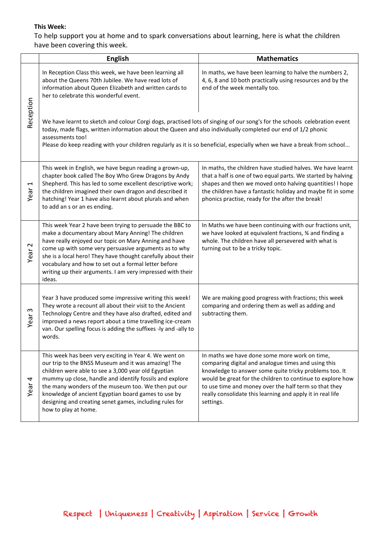# **This Week:**

To help support you at home and to spark conversations about learning, here is what the children have been covering this week.

|                   | <b>English</b>                                                                                                                                                                                                                                                                                                                                                                                                                   | <b>Mathematics</b>                                                                                                                                                                                                                                                                                                                                               |
|-------------------|----------------------------------------------------------------------------------------------------------------------------------------------------------------------------------------------------------------------------------------------------------------------------------------------------------------------------------------------------------------------------------------------------------------------------------|------------------------------------------------------------------------------------------------------------------------------------------------------------------------------------------------------------------------------------------------------------------------------------------------------------------------------------------------------------------|
| Reception         | In Reception Class this week, we have been learning all<br>about the Queens 70th Jubilee. We have read lots of<br>information about Queen Elizabeth and written cards to<br>her to celebrate this wonderful event.                                                                                                                                                                                                               | In maths, we have been learning to halve the numbers 2,<br>4, 6, 8 and 10 both practically using resources and by the<br>end of the week mentally too.                                                                                                                                                                                                           |
|                   | We have learnt to sketch and colour Corgi dogs, practised lots of singing of our song's for the schools celebration event<br>today, made flags, written information about the Queen and also individually completed our end of 1/2 phonic<br>assessments too!<br>Please do keep reading with your children regularly as it is so beneficial, especially when we have a break from school                                         |                                                                                                                                                                                                                                                                                                                                                                  |
| Year 1            | This week in English, we have begun reading a grown-up,<br>chapter book called The Boy Who Grew Dragons by Andy<br>Shepherd. This has led to some excellent descriptive work;<br>the children imagined their own dragon and described it<br>hatching! Year 1 have also learnt about plurals and when<br>to add an s or an es ending.                                                                                             | In maths, the children have studied halves. We have learnt<br>that a half is one of two equal parts. We started by halving<br>shapes and then we moved onto halving quantities! I hope<br>the children have a fantastic holiday and maybe fit in some<br>phonics practise, ready for the after the break!                                                        |
| Year <sub>2</sub> | This week Year 2 have been trying to persuade the BBC to<br>make a documentary about Mary Anning! The children<br>have really enjoyed our topic on Mary Anning and have<br>come up with some very persuasive arguments as to why<br>she is a local hero! They have thought carefully about their<br>vocabulary and how to set out a formal letter before<br>writing up their arguments. I am very impressed with their<br>ideas. | In Maths we have been continuing with our fractions unit,<br>we have looked at equivalent fractions, % and finding a<br>whole. The children have all persevered with what is<br>turning out to be a tricky topic.                                                                                                                                                |
| Year <sub>3</sub> | Year 3 have produced some impressive writing this week!<br>They wrote a recount all about their visit to the Ancient<br>Technology Centre and they have also drafted, edited and<br>improved a news report about a time travelling ice-cream<br>van. Our spelling focus is adding the suffixes -ly and -ally to<br>words.                                                                                                        | We are making good progress with fractions; this week<br>comparing and ordering them as well as adding and<br>subtracting them.                                                                                                                                                                                                                                  |
| 4<br>Year         | This week has been very exciting in Year 4. We went on<br>our trip to the BNSS Museum and it was amazing! The<br>children were able to see a 3,000 year old Egyptian<br>mummy up close, handle and identify fossils and explore<br>the many wonders of the museum too. We then put our<br>knowledge of ancient Egyptian board games to use by<br>designing and creating senet games, including rules for<br>how to play at home. | In maths we have done some more work on time,<br>comparing digital and analogue times and using this<br>knowledge to answer some quite tricky problems too. It<br>would be great for the children to continue to explore how<br>to use time and money over the half term so that they<br>really consolidate this learning and apply it in real life<br>settings. |